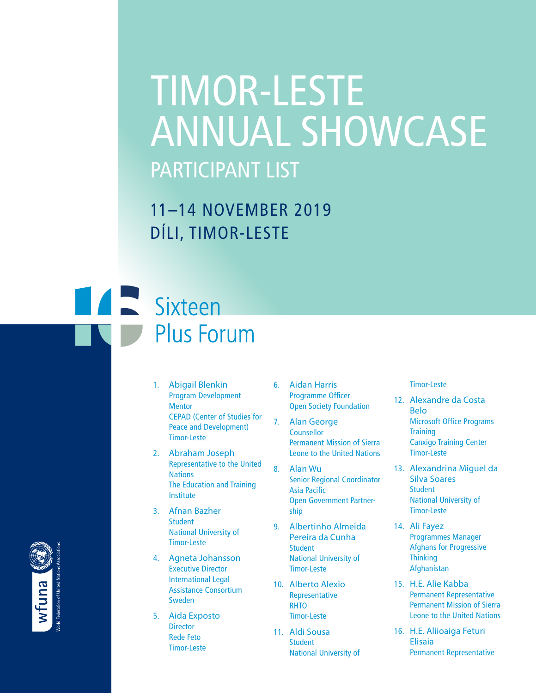# TIMOR-LESTE ANNUAL SHOWCASE PARTICIPANT LIST

11–14 NOVEMBER 2019 DÍLI, TIMOR-LESTE

## **Extremely** Sixteen **Plus Forum**

- 1. Abigail Blenkin Program Development **Mentor** CEPAD (Center of Studies for Peace and Development) Timor-Leste
- 2. Abraham Joseph Representative to the United **Nations** The Education and Training Institute
- 3. Afnan Bazher **Student** National University of Timor-Leste
- 4. Agneta Johansson Executive Director International Legal Assistance Consortium Sweden
- 5. Aida Exposto **Director** Rede Feto Timor-Leste
- 6. Aidan Harris Programme Officer Open Society Foundation
- 7. Alan George **Counsellor** Permanent Mission of Sierra Leone to the United Nations
- 8. Alan Wu Senior Regional Coordinator Asia Pacific Open Government Partnership
- 9. Albertinho Almeida Pereira da Cunha Student National University of Timor-Leste
- 10. Alberto Alexio Representative **RHTO** Timor-Leste
- 11. Aldi Sousa **Student** National University of

#### Timor-Leste

- 12. Alexandre da Costa Belo Microsoft Office Programs **Training** Canxigo Training Center Timor-Leste
- 13. Alexandrina Miguel da Silva Soares **Student** National University of Timor-Leste
- 14. Ali Fayez Programmes Manager Afghans for Progressive **Thinking** Afghanistan
- 15. H.E. Alie Kabba Permanent Representative Permanent Mission of Sierra Leone to the United Nations
- 16. H.E. Aliioaiga Feturi Elisaia Permanent Representative

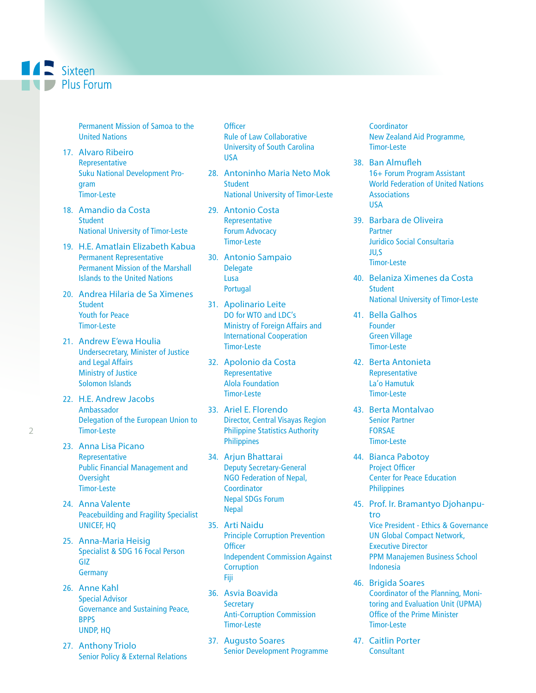**A** Sixteen **I** Plus Forum

> Permanent Mission of Samoa to the United Nations

- 17. Alvaro Ribeiro Representative Suku National Development Program Timor-Leste
- 18. Amandio da Costa **Student** National University of Timor-Leste
- 19. H.E. Amatlain Elizabeth Kabua Permanent Representative Permanent Mission of the Marshall Islands to the United Nations
- 20. Andrea Hilaria de Sa Ximenes Student Youth for Peace Timor-Leste
- 21. Andrew E'ewa Houlia Undersecretary, Minister of Justice and Legal Affairs Ministry of Justice Solomon Islands
- 22. H.E. Andrew Jacobs Ambassador Delegation of the European Union to Timor-Leste
- 23. Anna Lisa Picano Representative Public Financial Management and **Oversight** Timor-Leste
- 24. Anna Valente Peacebuilding and Fragility Specialist UNICEF, HQ
- 25. Anna-Maria Heisig Specialist & SDG 16 Focal Person GIZ **Germany**
- 26. Anne Kahl Special Advisor Governance and Sustaining Peace, BPPS UNDP, HQ
- 27. Anthony Triolo Senior Policy & External Relations

**Officer** Rule of Law Collaborative University of South Carolina USA

- 28. Antoninho Maria Neto Mok **Student** National University of Timor-Leste
- 29. Antonio Costa Representative Forum Advocacy Timor-Leste
- 30. Antonio Sampaio **Delegate** Lusa Portugal
- 31. Apolinario Leite DO for WTO and LDC's Ministry of Foreign Affairs and International Cooperation Timor-Leste
- 32. Apolonio da Costa Representative Alola Foundation Timor-Leste
- 33. Ariel E. Florendo Director, Central Visayas Region Philippine Statistics Authority **Philippines**
- 34. Arjun Bhattarai Deputy Secretary-General NGO Federation of Nepal, **Coordinator** Nepal SDGs Forum Nepal
- 35. Arti Naidu Principle Corruption Prevention **Officer** Independent Commission Against **Corruption** Fiji
- 36. Asvia Boavida **Secretary** Anti-Corruption Commission Timor-Leste
- 37. Augusto Soares Senior Development Programme

**Coordinator** New Zealand Aid Programme, Timor-Leste

- 38. Ban Almufleh 16+ Forum Program Assistant World Federation of United Nations **Associations** USA
- 39. Barbara de Oliveira Partner Juridico Social Consultaria JU,S Timor-Leste
- 40. Belaniza Ximenes da Costa **Student** National University of Timor-Leste
- 41. Bella Galhos Founder Green Village Timor-Leste
- 42. Berta Antonieta Representative La'o Hamutuk Timor-Leste
- 43. Berta Montalvao Senior Partner FORSAE Timor-Leste
- 44. Bianca Pabotoy Project Officer Center for Peace Education **Philippines**
- 45. Prof. Ir. Bramantyo Djohanputro Vice President - Ethics & Governance UN Global Compact Network, Executive Director PPM Manajemen Business School Indonesia
- 46. Brigida Soares Coordinator of the Planning, Monitoring and Evaluation Unit (UPMA) Office of the Prime Minister Timor-Leste
- 47. Caitlin Porter **Consultant**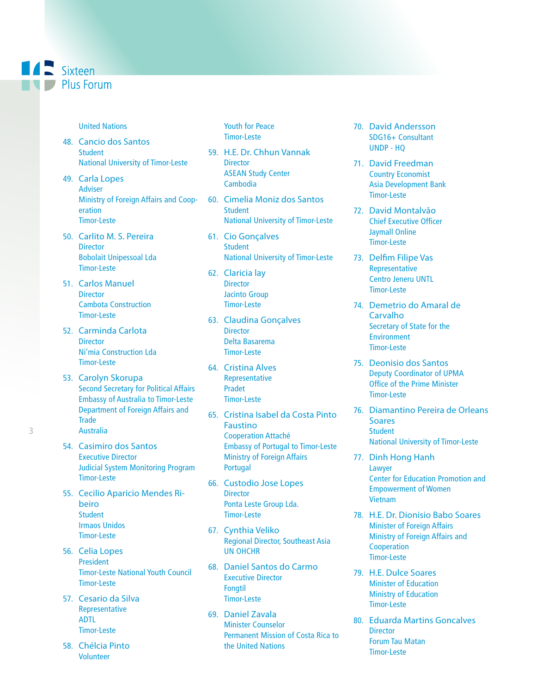## **ALL** Sixteen  $\blacksquare$  Plus Forum

#### United Nations

- 48. Cancio dos Santos **Student** National University of Timor-Leste
- 49. Carla Lopes Adviser Ministry of Foreign Affairs and Cooperation Timor-Leste
- 50. Carlito M. S. Pereira **Director** Bobolait Unipessoal Lda Timor-Leste
- 51. Carlos Manuel **Director** Cambota Construction Timor-Leste
- 52. Carminda Carlota **Director** Ni'mia Construction Lda Timor-Leste
- 53. Carolyn Skorupa Second Secretary for Political Affairs Embassy of Australia to Timor-Leste Department of Foreign Affairs and **Trade** Australia
- 54. Casimiro dos Santos Executive Director Judicial System Monitoring Program Timor-Leste
- 55. Cecilio Aparicio Mendes Ribeiro **Student** Irmaos Unidos Timor-Leste
- 56. Celia Lopes President Timor-Leste National Youth Council Timor-Leste
- 57. Cesario da Silva Representative ADTL Timor-Leste
- 58. Chélcia Pinto Volunteer

Youth for Peace Timor-Leste

- 59. H.E. Dr. Chhun Vannak **Director** ASEAN Study Center Cambodia
- 60. Cimelia Moniz dos Santos **Student** National University of Timor-Leste
- 61. Cio Gonçalves **Student** National University of Timor-Leste
- 62. Claricia lay **Director** Jacinto Group Timor-Leste
- 63. Claudina Gonçalves **Director** Delta Basarema Timor-Leste
- 64. Cristina Alves Representative Pradet Timor-Leste
- 65. Cristina Isabel da Costa Pinto **Faustino** Cooperation Attaché Embassy of Portugal to Timor-Leste Ministry of Foreign Affairs Portugal
- 66. Custodio Jose Lopes **Director** Ponta Leste Group Lda. Timor-Leste
- 67. Cynthia Veliko Regional Director, Southeast Asia UN OHCHR
- 68. Daniel Santos do Carmo Executive Director Fongtil Timor-Leste
- 69. Daniel Zavala Minister Counselor Permanent Mission of Costa Rica to the United Nations
- 70. David Andersson SDG16+ Consultant UNDP - HQ
- 71. David Freedman Country Economist Asia Development Bank Timor-Leste
- 72. David Montalvão Chief Executive Officer Jaymall Online Timor-Leste
- 73. Delfim Filipe Vas Representative Centro Jeneru UNTL Timor-Leste
- 74. Demetrio do Amaral de Carvalho Secretary of State for the **Environment** Timor-Leste
- 75. Deonisio dos Santos Deputy Coordinator of UPMA Office of the Prime Minister Timor-Leste
- 76. Diamantino Pereira de Orleans **Soares Student** National University of Timor-Leste
- 77. Dinh Hong Hanh Lawyer Center for Education Promotion and Empowerment of Women Vietnam
- 78. H.E. Dr. Dionisio Babo Soares Minister of Foreign Affairs Ministry of Foreign Affairs and Cooperation Timor-Leste
- 79. H.E. Dulce Soares Minister of Education Ministry of Education Timor-Leste
- 80. Eduarda Martins Goncalves **Director** Forum Tau Matan Timor-Leste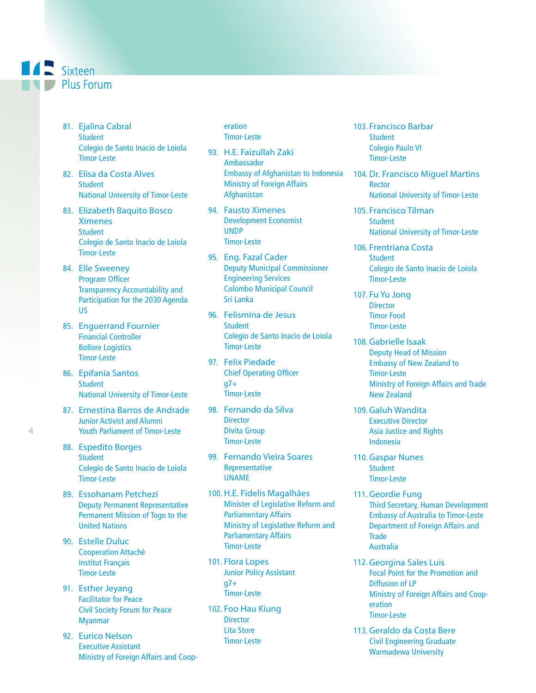## **ALL** Sixteen  $\blacksquare$  Plus Forum

- 81. Ejalina Cabral **Student** Colegio de Santo Inacio de Loiola Timor-Leste
- 82. Elisa da Costa Alves **Student** National University of Timor-Leste
- 83. Elizabeth Baquito Bosco Ximenes **Student** Colegio de Santo Inacio de Loiola Timor-Leste
- 84. Elle Sweeney Program Officer Transparency Accountability and Participation for the 2030 Agenda US
- 85. Enguerrand Fournier Financial Controller Bollore Logistics Timor-Leste
- 86. Epifania Santos **Student** National University of Timor-Leste
- 87. Ernestina Barros de Andrade Junior Activist and Alumni Youth Parliament of Timor-Leste
- 88. Espedito Borges **Student** Colegio de Santo Inacio de Loiola Timor-Leste
- 89. Essohanam Petchezi Deputy Permanent Representative Permanent Mission of Togo to the United Nations
- 90. Estelle Duluc Cooperation Attaché Institut Français Timor-Leste
- 91. Esther Jeyang Facilitator for Peace Civil Society Forum for Peace Myanmar
- 92. Eurico Nelson Executive Assistant Ministry of Foreign Affairs and Coop-

eration Timor-Leste

- 93. H.E. Faizullah Zaki Ambassador Embassy of Afghanistan to Indonesia Ministry of Foreign Affairs Afghanistan
- 94. Fausto Ximenes Development Economist UNDP Timor-Leste
- 95. Eng. Fazal Cader Deputy Municipal Commissioner Engineering Services Colombo Municipal Council Sri Lanka
- 96. Felismina de Jesus **Student** Colegio de Santo Inacio de Loiola Timor-Leste
- 97. Felix Piedade Chief Operating Officer  $q7+$ Timor-Leste
- 98. Fernando da Silva **Director** Divita Group Timor-Leste
- 99. Fernando Vieira Soares Representative UNAME
- 100. H.E. Fidelis Magalhães Minister of Legislative Reform and Parliamentary Affairs Ministry of Legislative Reform and Parliamentary Affairs Timor-Leste
- 101. Flora Lopes Junior Policy Assistant g7+ Timor-Leste
- 102. Foo Hau Kiung **Director** Lita Store Timor-Leste
- 103. Francisco Barbar **Student** Colegio Paulo VI Timor-Leste
- 104. Dr. Francisco Miguel Martins **Rector** National University of Timor-Leste
- 105. Francisco Tilman **Student** National University of Timor-Leste
- 106. Frentriana Costa **Student** Colegio de Santo Inacio de Loiola Timor-Leste
- 107. Fu Yu Jong **Director** Timor Food Timor-Leste
- 108. Gabrielle Isaak Deputy Head of Mission Embassy of New Zealand to Timor-Leste Ministry of Foreign Affairs and Trade New Zealand
- 109. Galuh Wandita Executive Director Asia Justice and Rights Indonesia
- 110. Gaspar Nunes **Student** Timor-Leste
- 111. Geordie Fung Third Secretary, Human Development Embassy of Australia to Timor-Leste Department of Foreign Affairs and **Trade** Australia
- 112. Georgina Sales Luis Focal Point for the Promotion and Diffusion of LP Ministry of Foreign Affairs and Cooperation Timor-Leste
- 113. Geraldo da Costa Bere Civil Engineering Graduate Warmadewa University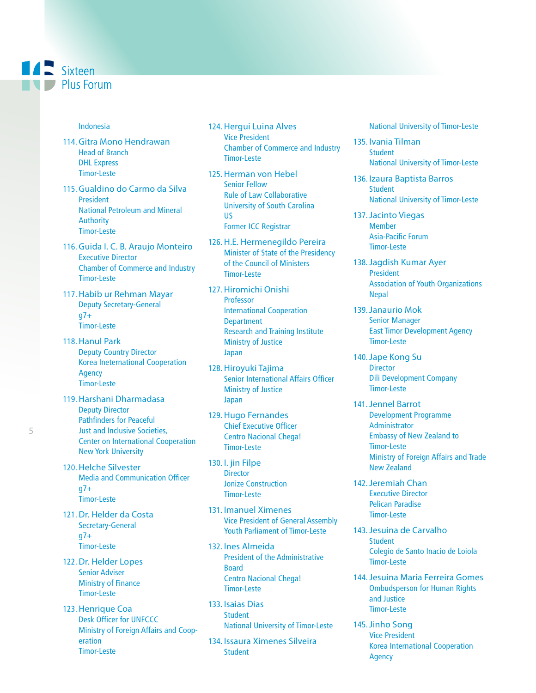## **ALL** Sixteen **Plus Forum**

#### Indonesia

- 114. Gitra Mono Hendrawan Head of Branch DHL Express Timor-Leste
- 115. Gualdino do Carmo da Silva President National Petroleum and Mineral **Authority** Timor-Leste
- 116. Guida I. C. B. Araujo Monteiro Executive Director Chamber of Commerce and Industry Timor-Leste
- 117. Habib ur Rehman Mayar Deputy Secretary-General g7+ Timor-Leste
- 118. Hanul Park Deputy Country Director Korea Ineternational Cooperation Agency Timor-Leste
- 119. Harshani Dharmadasa Deputy Director Pathfinders for Peaceful Just and Inclusive Societies, Center on International Cooperation New York University
- 120. Helche Silvester Media and Communication Officer  $q7+$ Timor-Leste
- 121. Dr. Helder da Costa Secretary-General  $q7+$ Timor-Leste
- 122. Dr. Helder Lopes Senior Adviser Ministry of Finance Timor-Leste
- 123. Henrique Coa Desk Officer for UNFCCC Ministry of Foreign Affairs and Cooperation Timor-Leste
- 124. Hergui Luina Alves Vice President Chamber of Commerce and Industry Timor-Leste
- 125. Herman von Hebel Senior Fellow Rule of Law Collaborative University of South Carolina US Former ICC Registrar
- 126. H.E. Hermenegildo Pereira Minister of State of the Presidency of the Council of Ministers Timor-Leste
- 127. Hiromichi Onishi **Professor** International Cooperation **Department** Research and Training Institute Ministry of Justice Japan
- 128. Hiroyuki Tajima Senior International Affairs Officer Ministry of Justice Japan
- 129. Hugo Fernandes Chief Executive Officer Centro Nacional Chega! Timor-Leste
- 130. I. jin Filpe **Director** Jonize Construction Timor-Leste
- 131. Imanuel Ximenes Vice President of General Assembly Youth Parliament of Timor-Leste
- 132. Ines Almeida President of the Administrative Board Centro Nacional Chega! Timor-Leste
- 133. Isaias Dias **Student** National University of Timor-Leste
- 134. Issaura Ximenes Silveira **Student**

National University of Timor-Leste

- 135. Ivania Tilman **Student** National University of Timor-Leste
- 136. Izaura Baptista Barros **Student** National University of Timor-Leste
- 137.Jacinto Viegas Member Asia-Pacific Forum Timor-Leste
- 138.Jagdish Kumar Ayer President Association of Youth Organizations Nepal
- 139.Janaurio Mok Senior Manager East Timor Development Agency Timor-Leste
- 140.Jape Kong Su **Director** Dili Development Company Timor-Leste
- 141.Jennel Barrot Development Programme Administrator Embassy of New Zealand to Timor-Leste Ministry of Foreign Affairs and Trade New Zealand
- 142.Jeremiah Chan Executive Director Pelican Paradise Timor-Leste
- 143.Jesuina de Carvalho **Student** Colegio de Santo Inacio de Loiola Timor-Leste
- 144.Jesuina Maria Ferreira Gomes Ombudsperson for Human Rights and Justice Timor-Leste
- 145.Jinho Song Vice President Korea International Cooperation Agency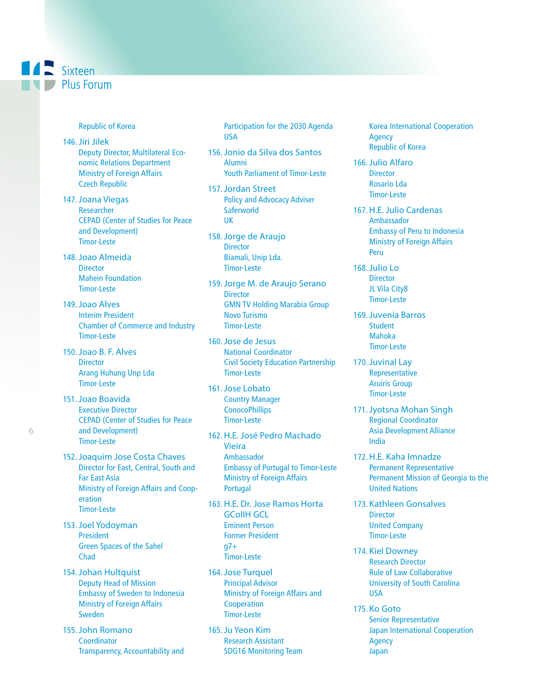

Republic of Korea

- 146.Jiri Jilek Deputy Director, Multilateral Economic Relations Department Ministry of Foreign Affairs Czech Republic
- 147.Joana Viegas Researcher CEPAD (Center of Studies for Peace and Development) Timor-Leste
- 148.Joao Almeida **Director** Mahein Foundation Timor-Leste
- 149.Joao Alves Interim President Chamber of Commerce and Industry Timor-Leste
- 150.Joao B. F. Alves **Director** Arang Huhung Unp Lda Timor-Leste
- 151.Joao Boavida Executive Director CEPAD (Center of Studies for Peace and Development) Timor-Leste
- 152.Joaquim Jose Costa Chaves Director for East, Central, South and Far East Asia Ministry of Foreign Affairs and Cooperation Timor-Leste
- 153.Joel Yodoyman **President** Green Spaces of the Sahel Chad
- 154.Johan Hultquist Deputy Head of Mission Embassy of Sweden to Indonesia Ministry of Foreign Affairs Sweden
- 155.John Romano **Coordinator** Transparency, Accountability and

Participation for the 2030 Agenda USA

- 156.Jonio da Silva dos Santos Alumni Youth Parliament of Timor-Leste
- 157.Jordan Street Policy and Advocacy Adviser **Saferworld** UK
- 158.Jorge de Araujo **Director** Biamali, Unip Lda. Timor-Leste
- 159.Jorge M. de Araujo Serano **Director** GMN TV Holding Marabia Group Novo Turismo Timor-Leste
- 160.Jose de Jesus National Coordinator Civil Society Education Partnership Timor-Leste
- 161.Jose Lobato Country Manager **ConocoPhillips** Timor-Leste
- 162. H.E. José Pedro Machado Vieira Ambassador Embassy of Portugal to Timor-Leste Ministry of Foreign Affairs Portugal
- 163. H.E. Dr. Jose Ramos Horta GCoIIH GCL Eminent Person Former President  $q7+$ Timor-Leste
- 164.Jose Turquel Principal Advisor Ministry of Foreign Affairs and Cooperation Timor-Leste
- 165.Ju Yeon Kim Research Assistant SDG16 Monitoring Team

Korea International Cooperation Agency Republic of Korea

- 166.Julio Alfaro **Director** Rosario Lda Timor-Leste
- 167. H.E. Julio Cardenas Ambassador Embassy of Peru to Indonesia Ministry of Foreign Affairs Peru
- 168.Julio Lo **Director** JL Vila City8 Timor-Leste
- 169.Juvenia Barros **Student** Mahoka Timor-Leste
- 170.Juvinal Lay Representative Aruiris Group Timor-Leste
- 171.Jyotsna Mohan Singh Regional Coordinator Asia Development Alliance India
- 172. H.E. Kaha Imnadze Permanent Representative Permanent Mission of Georgia to the United Nations
- 173. Kathleen Gonsalves **Director** United Company Timor-Leste
- 174. Kiel Downey Research Director Rule of Law Collaborative University of South Carolina USA
- 175. Ko Goto Senior Representative Japan International Cooperation Agency Japan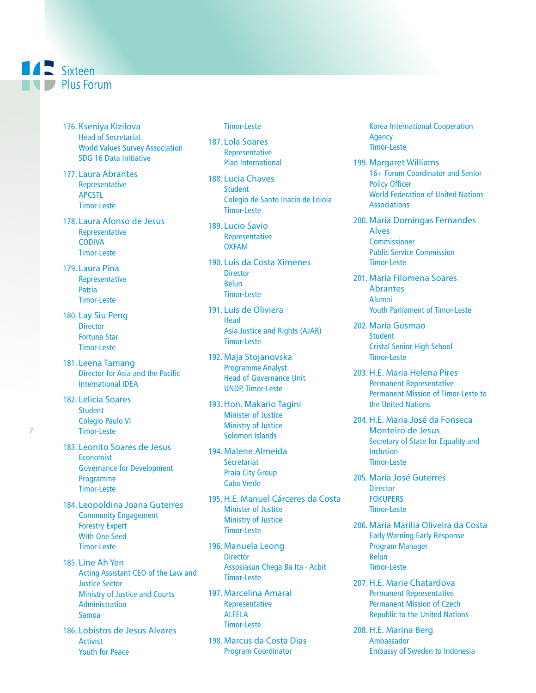## **AND** Sixteen **Plus Forum**

- 176. Kseniya Kizilova Head of Secretariat World Values Survey Association SDG 16 Data Initiative
- 177. Laura Abrantes Representative APCSTL Timor-Leste
- 178. Laura Afonso de Jesus Representative CODIVA Timor-Leste
- 179. Laura Pina Representative **Patria** Timor-Leste
- 180. Lay Siu Peng **Director** Fortuna Star Timor-Leste
- 181. Leena Tamang Director for Asia and the Pacific International IDEA
- 182. Lelicia Soares **Student** Colegio Paulo VI Timor-Leste
- 183. Leonito Soares de Jesus **Economist** Governance for Development Programme Timor-Leste
- 184. Leopoldina Joana Guterres Community Engagement Forestry Expert With One Seed Timor-Leste
- 185. Line Ah Yen Acting Assistant CEO of the Law and Justice Sector Ministry of Justice and Courts Administration Samoa
- 186. Lobistos de Jesus Alvares Activist Youth for Peace

#### Timor-Leste

187. Lola Soares Representative Plan International

- 188. Lucia Chaves **Student** Colegio de Santo Inacio de Loiola Timor-Leste
- 189. Lucio Savio Representative OXFAM
- 190. Luis da Costa Ximenes **Director** Belun Timor-Leste
- 191. Luis de Oliviera **Head** Asia Justice and Rights (AJAR) Timor-Leste
- 192. Maja Stojanovska Programme Analyst Head of Governance Unit UNDP, Timor-Leste
- 193. Hon. Makario Tagini Minister of Justice Ministry of Justice Solomon Islands
- 194. Malene Almeida **Secretariat** Praia City Group Cabo Verde
- 195. H.E. Manuel Cárceres da Costa Minister of Justice Ministry of Justice Timor-Leste
- 196. Manuela Leong **Director** Assosiasun Chega Ba Ita - Acbit Timor-Leste
- 197. Marcelina Amaral Representative ALFELA Timor-Leste
- 198. Marcus da Costa Dias Program Coordinator

Korea International Cooperation Agency Timor-Leste

- 199. Margaret Williams 16+ Forum Coordinator and Senior Policy Officer World Federation of United Nations **Associations**
- 200. Maria Domingas Fernandes Alves **Commissioner** Public Service Commission Timor-Leste
- 201. Maria Filomena Soares **Abrantes** Alumni Youth Parliament of Timor-Leste
- 202. Maria Gusmao **Student** Cristal Senior High School Timor-Leste
- 203. H.E. Maria Helena Pires Permanent Representative Permanent Mission of Timor-Leste to the United Nations
- 204. H.E. Maria José da Fonseca Monteiro de Jesus Secretary of State for Equality and Inclusion Timor-Leste
- 205. Maria José Guterres **Director FOKUPERS** Timor-Leste
- 206. Maria Marilia Oliveira da Costa Early Warning Early Response Program Manager Belun Timor-Leste
- 207. H.E. Marie Chatardova Permanent Representative Permanent Mission of Czech Republic to the United Nations
- 208. H.E. Marina Berg Ambassador Embassy of Sweden to Indonesia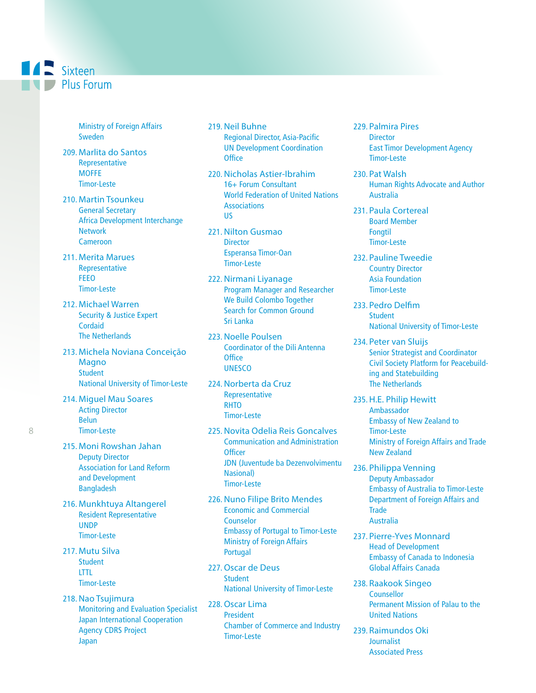Ministry of Foreign Affairs Sweden

- 209. Marlita do Santos Representative **MOFFE** Timor-Leste
- 210. Martin Tsounkeu General Secretary Africa Development Interchange **Network** Cameroon
- 211. Merita Marues Representative FEEO Timor-Leste
- 212. Michael Warren Security & Justice Expert **Cordaid** The Netherlands
- 213. Michela Noviana Conceição **Magno Student** National University of Timor-Leste
- 214. Miguel Mau Soares Acting Director Belun Timor-Leste
- 215. Moni Rowshan Jahan Deputy Director Association for Land Reform and Development Bangladesh
- 216. Munkhtuya Altangerel Resident Representative UNDP Timor-Leste
- 217. Mutu Silva **Student** LTTL Timor-Leste
- 218. Nao Tsujimura Monitoring and Evaluation Specialist Japan International Cooperation Agency CDRS Project Japan
- 219. Neil Buhne Regional Director, Asia-Pacific UN Development Coordination **Office**
- 220. Nicholas Astier-Ibrahim 16+ Forum Consultant World Federation of United Nations **Associations** US
- 221. Nilton Gusmao **Director** Esperansa Timor-Oan Timor-Leste
- 222. Nirmani Liyanage Program Manager and Researcher We Build Colombo Together Search for Common Ground Sri Lanka
- 223. Noelle Poulsen Coordinator of the Dili Antenna **Office UNESCO**
- 224. Norberta da Cruz Representative **RHTO** Timor-Leste
- 225. Novita Odelia Reis Goncalves Communication and Administration **Officer** JDN (Juventude ba Dezenvolvimentu Nasional) Timor-Leste
- 226. Nuno Filipe Brito Mendes Economic and Commercial Counselor Embassy of Portugal to Timor-Leste Ministry of Foreign Affairs Portugal
- 227.Oscar de Deus **Student** National University of Timor-Leste
- 228.Oscar Lima **President** Chamber of Commerce and Industry Timor-Leste
- 229. Palmira Pires **Director** East Timor Development Agency Timor-Leste
- 230. Pat Walsh Human Rights Advocate and Author Australia
- 231. Paula Cortereal Board Member Fongtil Timor-Leste
- 232. Pauline Tweedie Country Director Asia Foundation Timor-Leste
- 233. Pedro Delfim **Student** National University of Timor-Leste
- 234. Peter van Sluijs Senior Strategist and Coordinator Civil Society Platform for Peacebuilding and Statebuilding The Netherlands
- 235. H.E. Philip Hewitt Ambassador Embassy of New Zealand to Timor-Leste Ministry of Foreign Affairs and Trade New Zealand
- 236. Philippa Venning Deputy Ambassador Embassy of Australia to Timor-Leste Department of Foreign Affairs and **Trade** Australia
- 237. Pierre-Yves Monnard Head of Development Embassy of Canada to Indonesia Global Affairs Canada
- 238. Raakook Singeo **Counsellor** Permanent Mission of Palau to the United Nations
- 239. Raimundos Oki Journalist Associated Press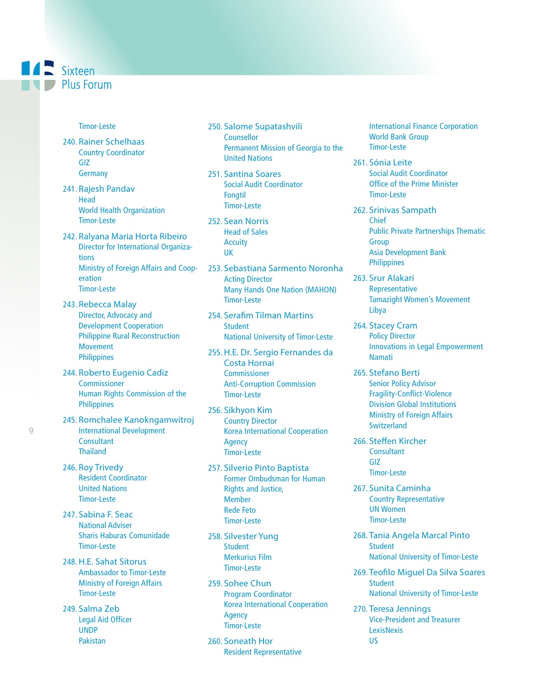## **A** Sixteen **Plus Forum**

#### Timor-Leste

- 240. Rainer Schelhaas Country Coordinator GIZ **Germany**
- 241. Rajesh Pandav **Head** World Health Organization Timor-Leste
- 242. Ralyana Maria Horta Ribeiro Director for International Organizations Ministry of Foreign Affairs and Cooperation Timor-Leste
- 243. Rebecca Malay Director, Advocacy and Development Cooperation Philippine Rural Reconstruction Movement Philippines
- 244. Roberto Eugenio Cadiz **Commissioner** Human Rights Commission of the **Philippines**
- 245. Romchalee Kanokngamwitroj International Development **Consultant Thailand**
- 246. Roy Trivedy Resident Coordinator United Nations Timor-Leste
- 247. Sabina F. Seac National Adviser Sharis Haburas Comunidade Timor-Leste
- 248. H.E. Sahat Sitorus Ambassador to Timor-Leste Ministry of Foreign Affairs Timor-Leste
- 249. Salma Zeb Legal Aid Officer UNDP Pakistan
- 250. Salome Supatashvili **Counsellor** Permanent Mission of Georgia to the United Nations
- 251. Santina Soares Social Audit Coordinator Fongtil Timor-Leste
- 252. Sean Norris Head of Sales **Accuity** UK
- 253. Sebastiana Sarmento Noronha Acting Director Many Hands One Nation (MAHON) Timor-Leste
- 254. Serafim Tilman Martins **Student** National University of Timor-Leste
- 255. H.E. Dr. Sergio Fernandes da Costa Hornai **Commissioner** Anti-Corruption Commission Timor-Leste
- 256. Sikhyon Kim Country Director Korea International Cooperation Agency Timor-Leste
- 257. Silverio Pinto Baptista Former Ombudsman for Human Rights and Justice, Member Rede Feto Timor-Leste
- 258. Silvester Yung **Student** Merkurius Film Timor-Leste
- 259. Sohee Chun Program Coordinator Korea International Cooperation Agency Timor-Leste
- 260. Soneath Hor Resident Representative

International Finance Corporation World Bank Group Timor-Leste

- 261. Sónia Leite Social Audit Coordinator Office of the Prime Minister Timor-Leste
- 262. Srinivas Sampath Chief Public Private Partnerships Thematic Group Asia Development Bank **Philippines**
- 263. Srur Alakari Representative Tamazight Women's Movement Libya
- 264. Stacey Cram Policy Director Innovations in Legal Empowerment Namati
- 265. Stefano Berti Senior Policy Advisor Fragility-Conflict-Violence Division Global Institutions Ministry of Foreign Affairs **Switzerland**
- 266. Steffen Kircher **Consultant** GIZ Timor-Leste
- 267. Sunita Caminha Country Representative UN Women Timor-Leste
- 268. Tania Angela Marcal Pinto **Student** National University of Timor-Leste
- 269. Teofilo Miguel Da Silva Soares Student National University of Timor-Leste
- 270. Teresa Jennings Vice-President and Treasurer **LexisNexis** US